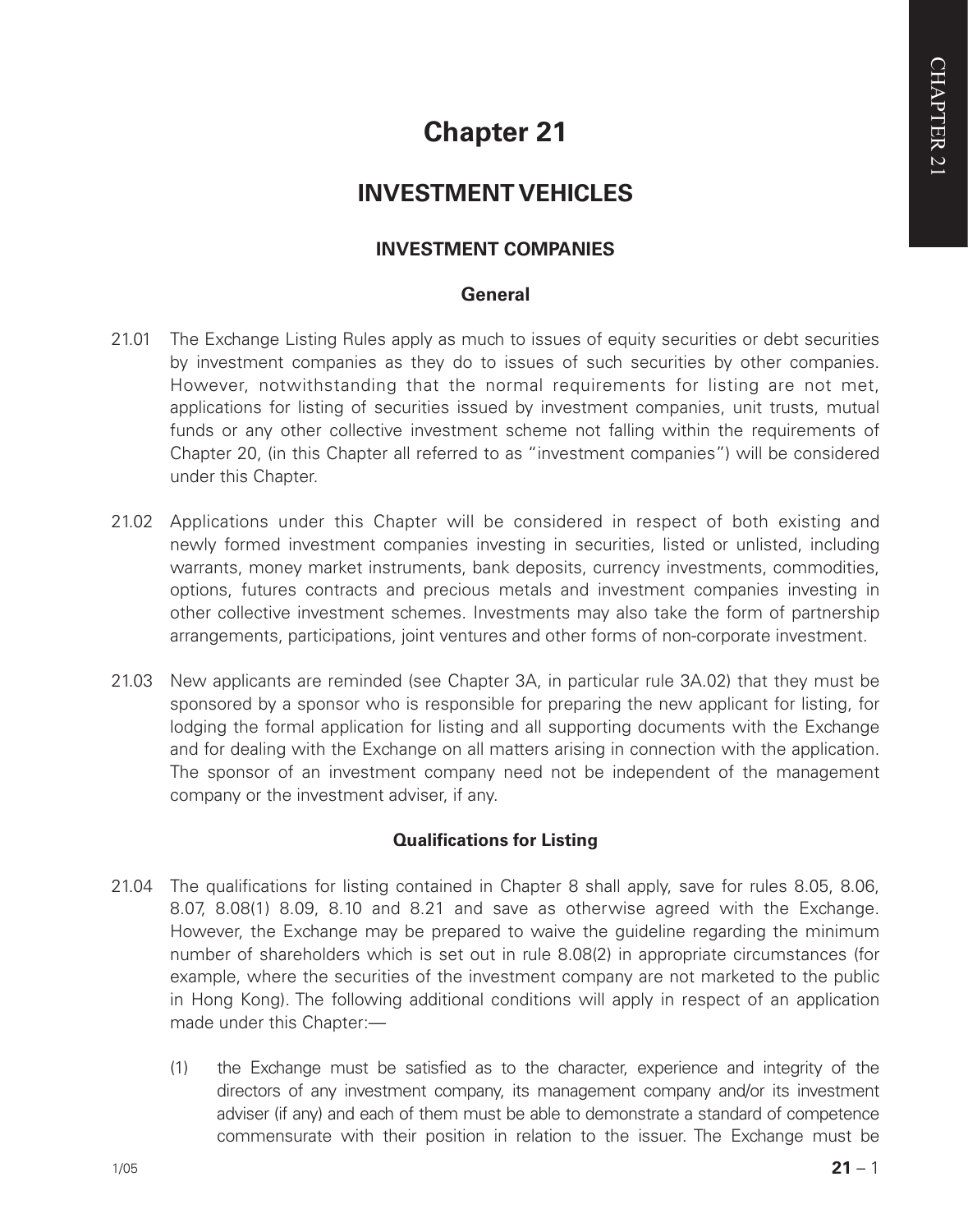# **Chapter 21**

# **INVESTMENT VEHICLES**

# **INVESTMENT COMPANIES**

# **General**

- 21.01 The Exchange Listing Rules apply as much to issues of equity securities or debt securities by investment companies as they do to issues of such securities by other companies. However, notwithstanding that the normal requirements for listing are not met, applications for listing of securities issued by investment companies, unit trusts, mutual funds or any other collective investment scheme not falling within the requirements of Chapter 20, (in this Chapter all referred to as "investment companies") will be considered under this Chapter.
- 21.02 Applications under this Chapter will be considered in respect of both existing and newly formed investment companies investing in securities, listed or unlisted, including warrants, money market instruments, bank deposits, currency investments, commodities, options, futures contracts and precious metals and investment companies investing in other collective investment schemes. Investments may also take the form of partnership arrangements, participations, joint ventures and other forms of non-corporate investment.
- 21.03 New applicants are reminded (see Chapter 3A, in particular rule 3A.02) that they must be sponsored by a sponsor who is responsible for preparing the new applicant for listing, for lodging the formal application for listing and all supporting documents with the Exchange and for dealing with the Exchange on all matters arising in connection with the application. The sponsor of an investment company need not be independent of the management company or the investment adviser, if any.

# **Qualifications for Listing**

- 21.04 The qualifications for listing contained in Chapter 8 shall apply, save for rules 8.05, 8.06, 8.07, 8.08(1) 8.09, 8.10 and 8.21 and save as otherwise agreed with the Exchange. However, the Exchange may be prepared to waive the guideline regarding the minimum number of shareholders which is set out in rule 8.08(2) in appropriate circumstances (for example, where the securities of the investment company are not marketed to the public in Hong Kong). The following additional conditions will apply in respect of an application made under this Chapter:-
	- (1) the Exchange must be satisfied as to the character, experience and integrity of the directors of any investment company, its management company and/or its investment adviser (if any) and each of them must be able to demonstrate a standard of competence commensurate with their position in relation to the issuer. The Exchange must be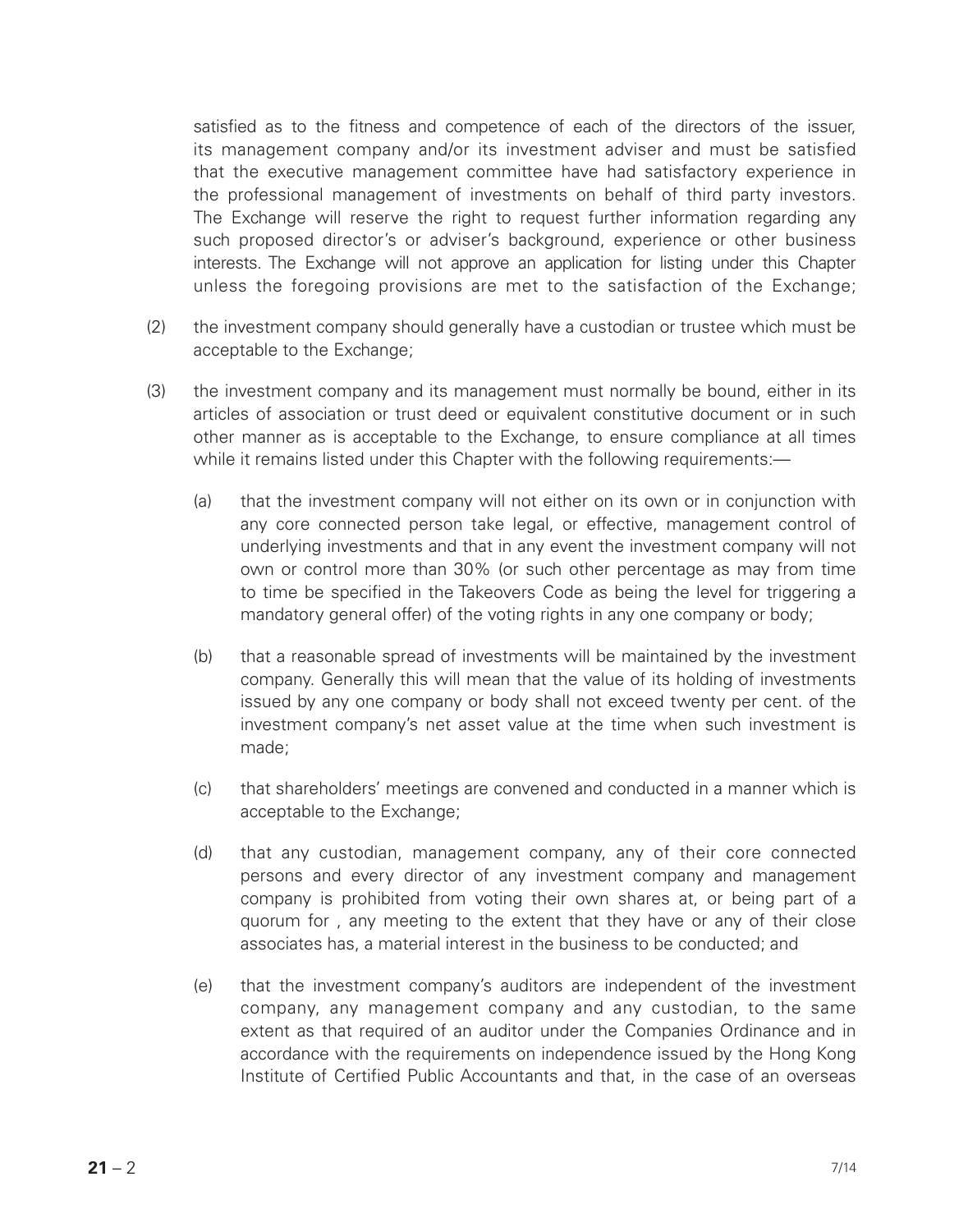satisfied as to the fitness and competence of each of the directors of the issuer, its management company and/or its investment adviser and must be satisfied that the executive management committee have had satisfactory experience in the professional management of investments on behalf of third party investors. The Exchange will reserve the right to request further information regarding any such proposed director's or adviser's background, experience or other business interests. The Exchange will not approve an application for listing under this Chapter unless the foregoing provisions are met to the satisfaction of the Exchange;

- (2) the investment company should generally have a custodian or trustee which must be acceptable to the Exchange:
- (3) the investment company and its management must normally be bound, either in its articles of association or trust deed or equivalent constitutive document or in such other manner as is acceptable to the Exchange, to ensure compliance at all times while it remains listed under this Chapter with the following requirements:-
	- (a) that the investment company will not either on its own or in conjunction with any core connected person take legal, or effective, management control of underlying investments and that in any event the investment company will not own or control more than 30% (or such other percentage as may from time to time be specified in the Takeovers Code as being the level for triggering a mandatory general offer) of the voting rights in any one company or body;
	- (b) that a reasonable spread of investments will be maintained by the investment company. Generally this will mean that the value of its holding of investments issued by any one company or body shall not exceed twenty per cent. of the investment company's net asset value at the time when such investment is made;
	- (c) that shareholders' meetings are convened and conducted in a manner which is acceptable to the Exchange;
	- (d) that any custodian, management company, any of their core connected persons and every director of any investment company and management company is prohibited from voting their own shares at, or being part of a quorum for , any meeting to the extent that they have or any of their close associates has, a material interest in the business to be conducted; and
	- (e) that the investment company's auditors are independent of the investment company, any management company and any custodian, to the same extent as that required of an auditor under the Companies Ordinance and in accordance with the requirements on independence issued by the Hong Kong Institute of Certified Public Accountants and that, in the case of an overseas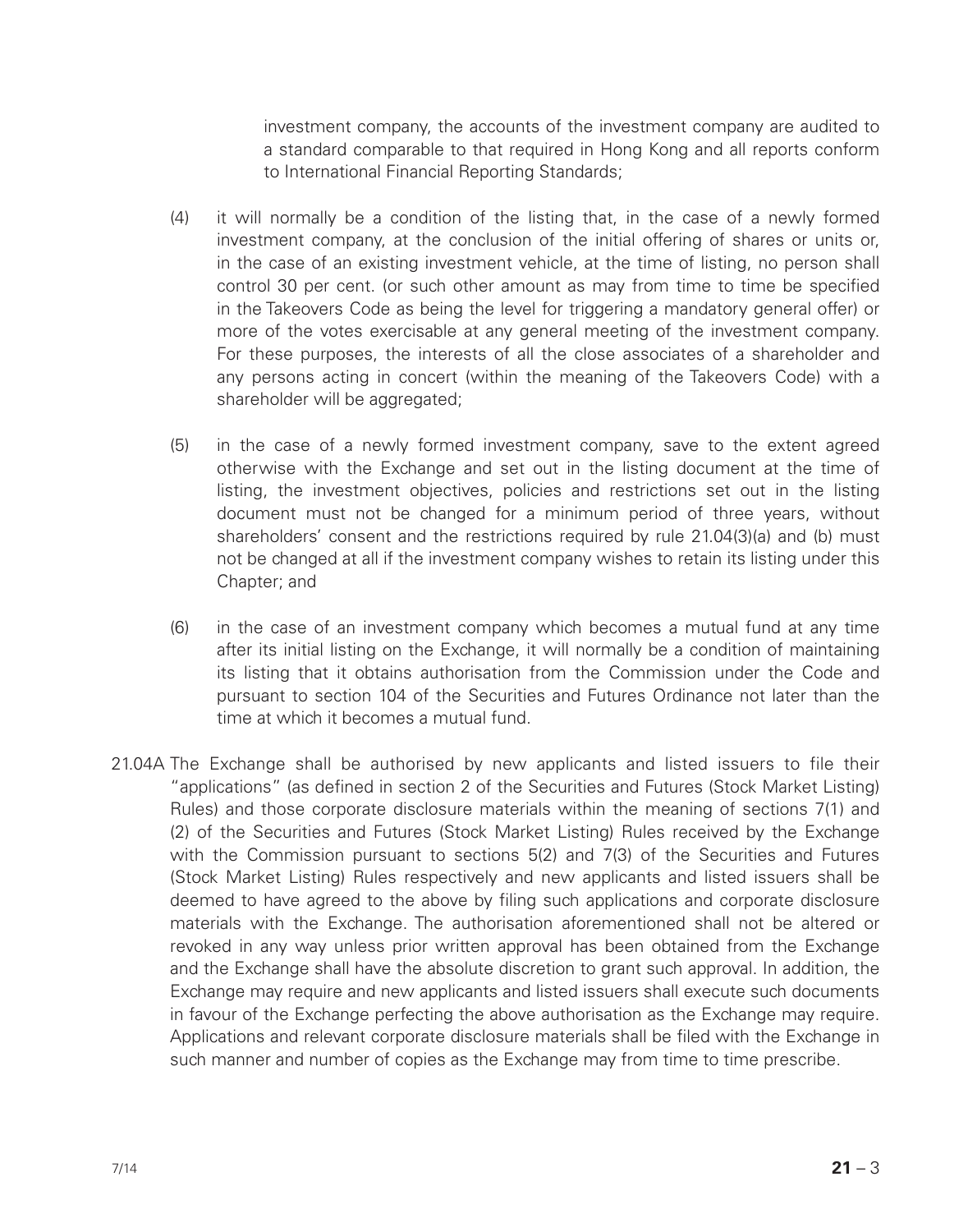investment company, the accounts of the investment company are audited to a standard comparable to that required in Hong Kong and all reports conform to International Financial Reporting Standards;

- (4) it will normally be a condition of the listing that, in the case of a newly formed investment company, at the conclusion of the initial offering of shares or units or, in the case of an existing investment vehicle, at the time of listing, no person shall control 30 per cent. (or such other amount as may from time to time be specified in the Takeovers Code as being the level for triggering a mandatory general offer) or more of the votes exercisable at any general meeting of the investment company. For these purposes, the interests of all the close associates of a shareholder and any persons acting in concert (within the meaning of the Takeovers Code) with a shareholder will be aggregated;
- (5) in the case of a newly formed investment company, save to the extent agreed otherwise with the Exchange and set out in the listing document at the time of listing, the investment objectives, policies and restrictions set out in the listing document must not be changed for a minimum period of three years, without shareholders' consent and the restrictions required by rule 21.04(3)(a) and (b) must not be changed at all if the investment company wishes to retain its listing under this Chapter; and
- (6) in the case of an investment company which becomes a mutual fund at any time after its initial listing on the Exchange, it will normally be a condition of maintaining its listing that it obtains authorisation from the Commission under the Code and pursuant to section 104 of the Securities and Futures Ordinance not later than the time at which it becomes a mutual fund.
- 21.04A The Exchange shall be authorised by new applicants and listed issuers to file their "applications" (as defined in section 2 of the Securities and Futures (Stock Market Listing) Rules) and those corporate disclosure materials within the meaning of sections 7(1) and (2) of the Securities and Futures (Stock Market Listing) Rules received by the Exchange with the Commission pursuant to sections 5(2) and 7(3) of the Securities and Futures (Stock Market Listing) Rules respectively and new applicants and listed issuers shall be deemed to have agreed to the above by filing such applications and corporate disclosure materials with the Exchange. The authorisation aforementioned shall not be altered or revoked in any way unless prior written approval has been obtained from the Exchange and the Exchange shall have the absolute discretion to grant such approval. In addition, the Exchange may require and new applicants and listed issuers shall execute such documents in favour of the Exchange perfecting the above authorisation as the Exchange may require. Applications and relevant corporate disclosure materials shall be filed with the Exchange in such manner and number of copies as the Exchange may from time to time prescribe.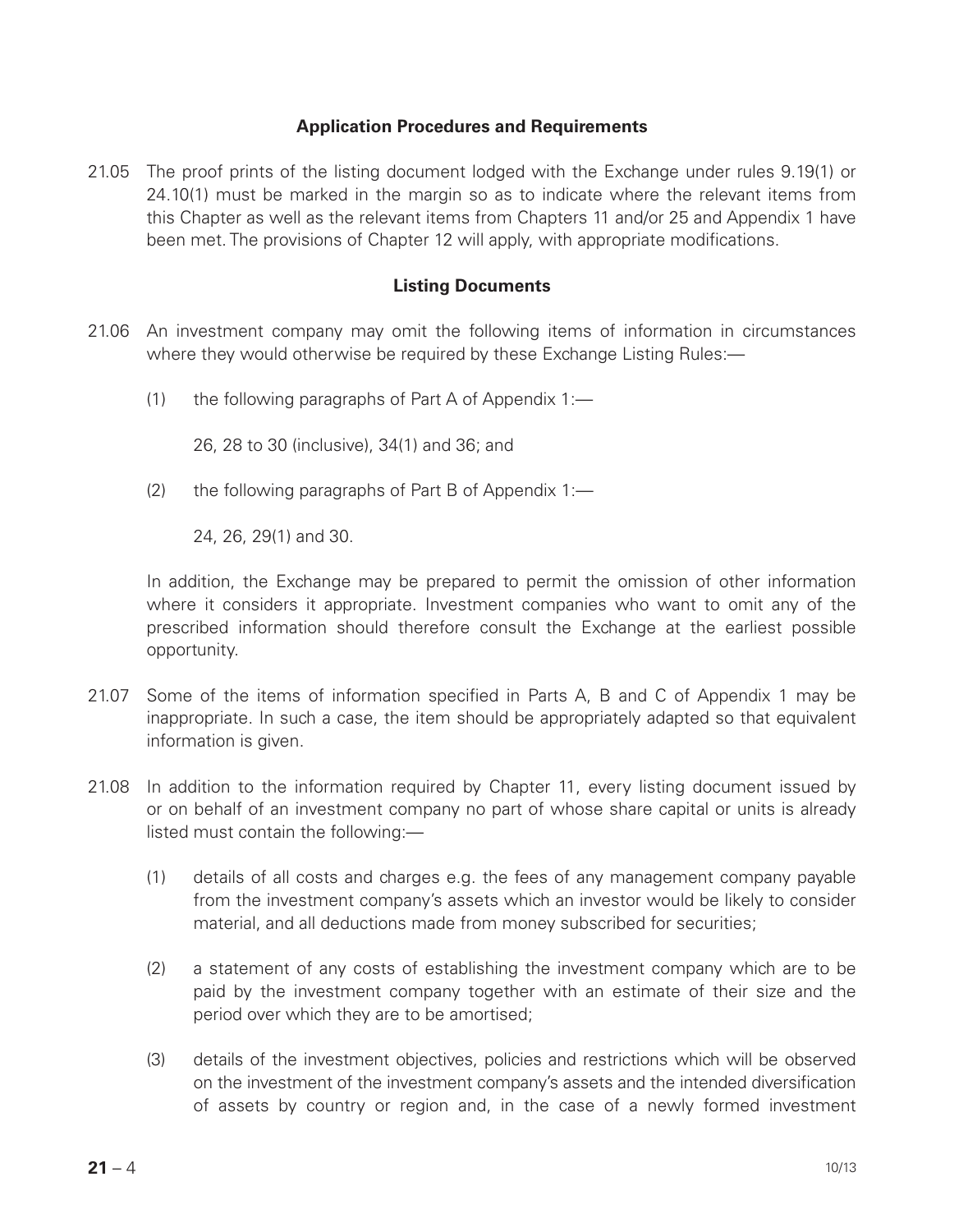#### **Application Procedures and Requirements**

21.05 The proof prints of the listing document lodged with the Exchange under rules 9.19(1) or 24.10(1) must be marked in the margin so as to indicate where the relevant items from this Chapter as well as the relevant items from Chapters 11 and/or 25 and Appendix 1 have been met. The provisions of Chapter 12 will apply, with appropriate modifications.

#### **Listing Documents**

- 21.06 An investment company may omit the following items of information in circumstances where they would otherwise be required by these Exchange Listing Rules:—
	- (1) the following paragraphs of Part A of Appendix 1:—

26, 28 to 30 (inclusive), 34(1) and 36; and

(2) the following paragraphs of Part B of Appendix 1:—

24, 26, 29(1) and 30.

In addition, the Exchange may be prepared to permit the omission of other information where it considers it appropriate. Investment companies who want to omit any of the prescribed information should therefore consult the Exchange at the earliest possible opportunity.

- 21.07 Some of the items of information specified in Parts A, B and C of Appendix 1 may be inappropriate. In such a case, the item should be appropriately adapted so that equivalent information is given.
- 21.08 In addition to the information required by Chapter 11, every listing document issued by or on behalf of an investment company no part of whose share capital or units is already listed must contain the following:—
	- (1) details of all costs and charges e.g. the fees of any management company payable from the investment company's assets which an investor would be likely to consider material, and all deductions made from money subscribed for securities;
	- (2) a statement of any costs of establishing the investment company which are to be paid by the investment company together with an estimate of their size and the period over which they are to be amortised;
	- (3) details of the investment objectives, policies and restrictions which will be observed on the investment of the investment company's assets and the intended diversification of assets by country or region and, in the case of a newly formed investment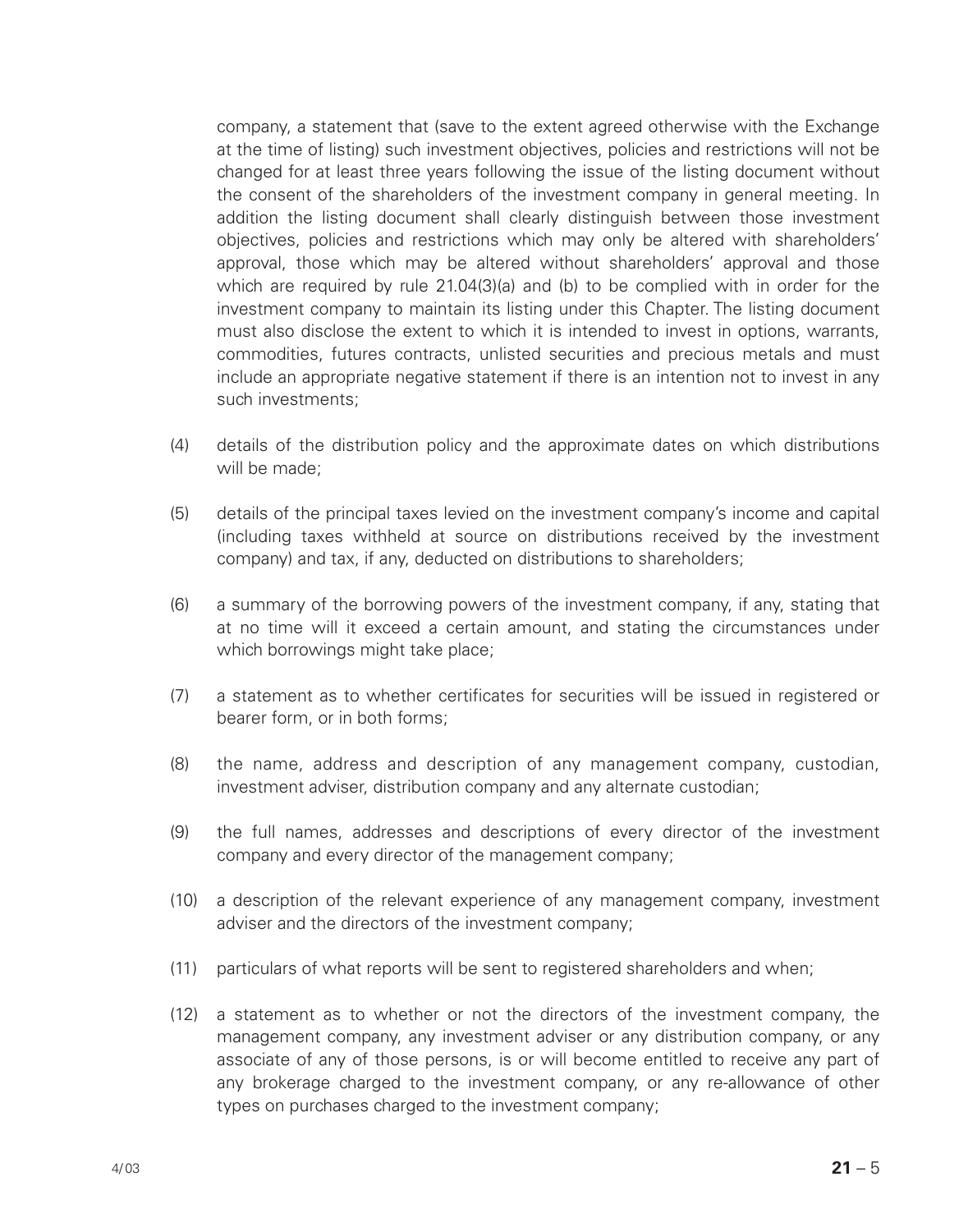company, a statement that (save to the extent agreed otherwise with the Exchange at the time of listing) such investment objectives, policies and restrictions will not be changed for at least three years following the issue of the listing document without the consent of the shareholders of the investment company in general meeting. In addition the listing document shall clearly distinguish between those investment objectives, policies and restrictions which may only be altered with shareholders' approval, those which may be altered without shareholders' approval and those which are required by rule 21.04(3)(a) and (b) to be complied with in order for the investment company to maintain its listing under this Chapter. The listing document must also disclose the extent to which it is intended to invest in options, warrants, commodities, futures contracts, unlisted securities and precious metals and must include an appropriate negative statement if there is an intention not to invest in any such investments;

- (4) details of the distribution policy and the approximate dates on which distributions will be made;
- (5) details of the principal taxes levied on the investment company's income and capital (including taxes withheld at source on distributions received by the investment company) and tax, if any, deducted on distributions to shareholders;
- (6) a summary of the borrowing powers of the investment company, if any, stating that at no time will it exceed a certain amount, and stating the circumstances under which borrowings might take place;
- (7) a statement as to whether certificates for securities will be issued in registered or bearer form, or in both forms;
- (8) the name, address and description of any management company, custodian, investment adviser, distribution company and any alternate custodian;
- (9) the full names, addresses and descriptions of every director of the investment company and every director of the management company;
- (10) a description of the relevant experience of any management company, investment adviser and the directors of the investment company;
- (11) particulars of what reports will be sent to registered shareholders and when;
- (12) a statement as to whether or not the directors of the investment company, the management company, any investment adviser or any distribution company, or any associate of any of those persons, is or will become entitled to receive any part of any brokerage charged to the investment company, or any re-allowance of other types on purchases charged to the investment company: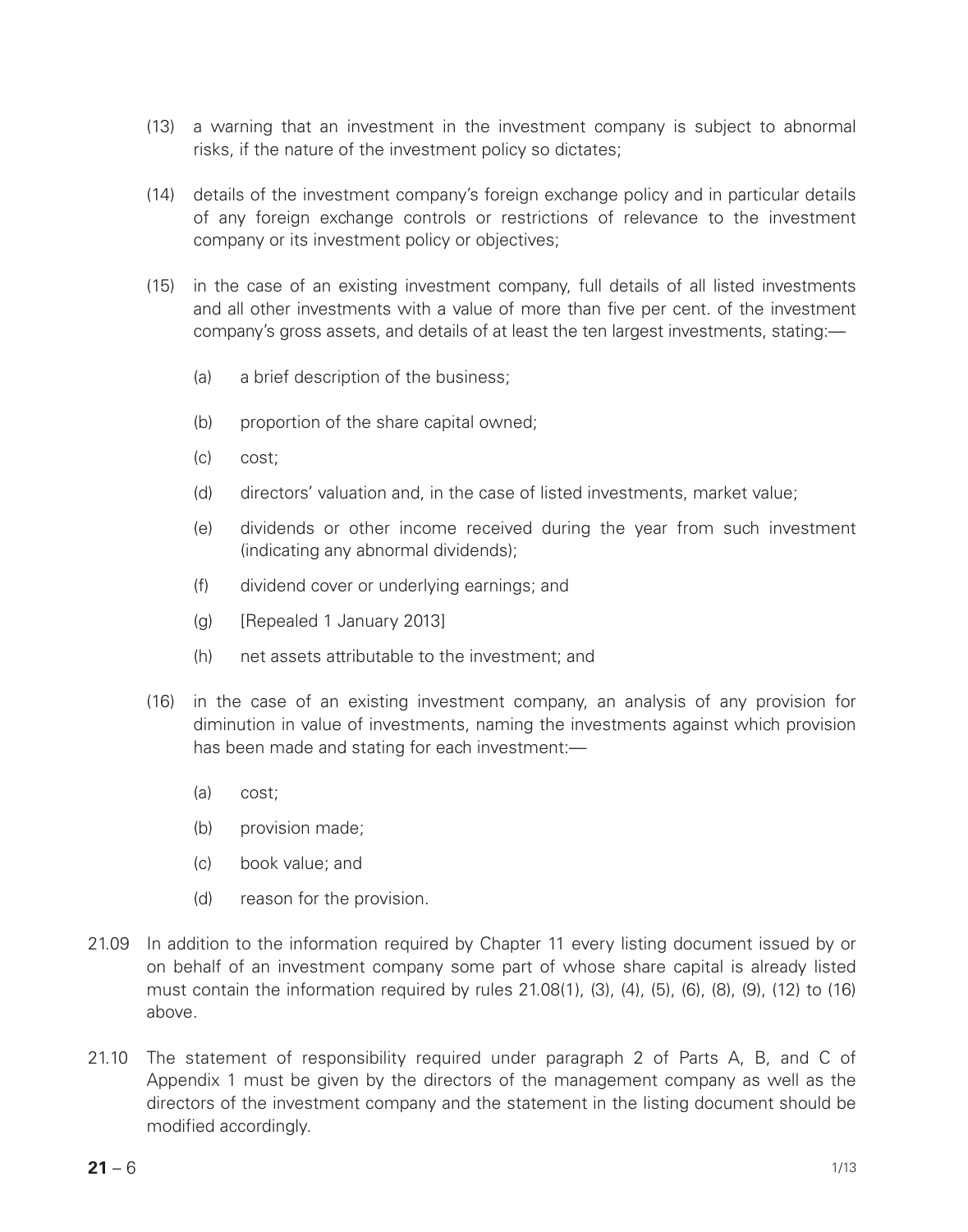- (13) a warning that an investment in the investment company is subject to abnormal risks, if the nature of the investment policy so dictates;
- (14) details of the investment company's foreign exchange policy and in particular details of any foreign exchange controls or restrictions of relevance to the investment company or its investment policy or objectives;
- (15) in the case of an existing investment company, full details of all listed investments and all other investments with a value of more than five per cent. of the investment company's gross assets, and details of at least the ten largest investments, stating:—
	- (a) a brief description of the business;
	- (b) proportion of the share capital owned;
	- (c) cost;
	- (d) directors' valuation and, in the case of listed investments, market value;
	- (e) dividends or other income received during the year from such investment (indicating any abnormal dividends);
	- (f) dividend cover or underlying earnings; and
	- (g) [Repealed 1 January 2013]
	- (h) net assets attributable to the investment; and
- (16) in the case of an existing investment company, an analysis of any provision for diminution in value of investments, naming the investments against which provision has been made and stating for each investment:—
	- (a) cost;
	- (b) provision made;
	- (c) book value; and
	- (d) reason for the provision.
- 21.09 In addition to the information required by Chapter 11 every listing document issued by or on behalf of an investment company some part of whose share capital is already listed must contain the information required by rules  $21.08(1)$ ,  $(3)$ ,  $(4)$ ,  $(5)$ ,  $(6)$ ,  $(8)$ ,  $(9)$ ,  $(12)$  to  $(16)$ above.
- 21.10 The statement of responsibility required under paragraph 2 of Parts A, B, and C of Appendix 1 must be given by the directors of the management company as well as the directors of the investment company and the statement in the listing document should be modified accordingly.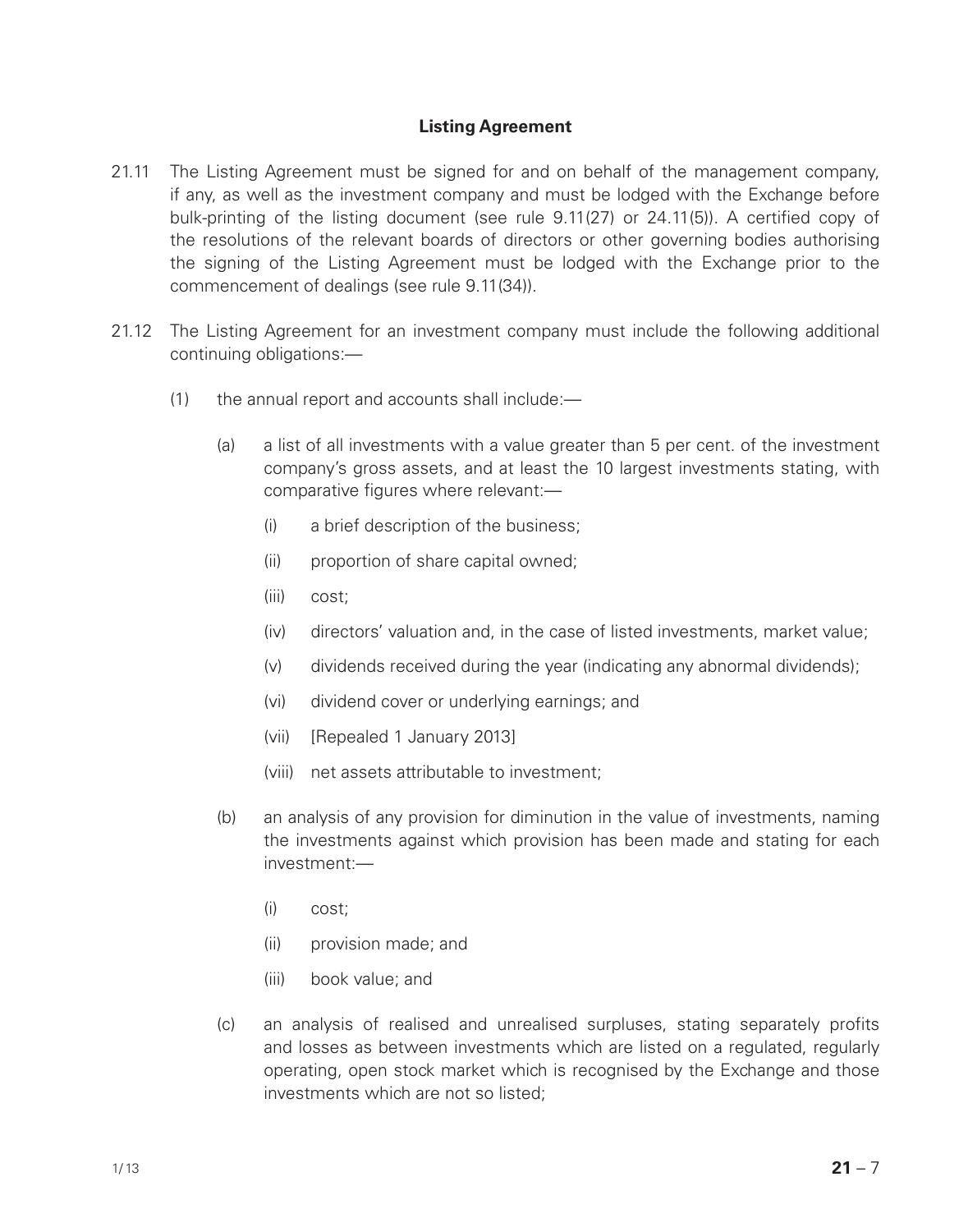#### **Listing Agreement**

- 21.11 The Listing Agreement must be signed for and on behalf of the management company, if any, as well as the investment company and must be lodged with the Exchange before bulk-printing of the listing document (see rule 9.11(27) or 24.11(5)). A certified copy of the resolutions of the relevant boards of directors or other governing bodies authorising the signing of the Listing Agreement must be lodged with the Exchange prior to the commencement of dealings (see rule 9.11(34)).
- 21.12 The Listing Agreement for an investment company must include the following additional continuing obligations:—
	- (1) the annual report and accounts shall include:—
		- (a) a list of all investments with a value greater than 5 per cent. of the investment company's gross assets, and at least the 10 largest investments stating, with comparative figures where relevant:—
			- (i) a brief description of the business;
			- (ii) proportion of share capital owned;
			- (iii) cost;
			- (iv) directors' valuation and, in the case of listed investments, market value;
			- (v) dividends received during the year (indicating any abnormal dividends);
			- (vi) dividend cover or underlying earnings; and
			- (vii) [Repealed 1 January 2013]
			- (viii) net assets attributable to investment;
		- (b) an analysis of any provision for diminution in the value of investments, naming the investments against which provision has been made and stating for each investment:—
			- (i) cost;
			- (ii) provision made; and
			- (iii) book value; and
		- (c) an analysis of realised and unrealised surpluses, stating separately profits and losses as between investments which are listed on a regulated, regularly operating, open stock market which is recognised by the Exchange and those investments which are not so listed;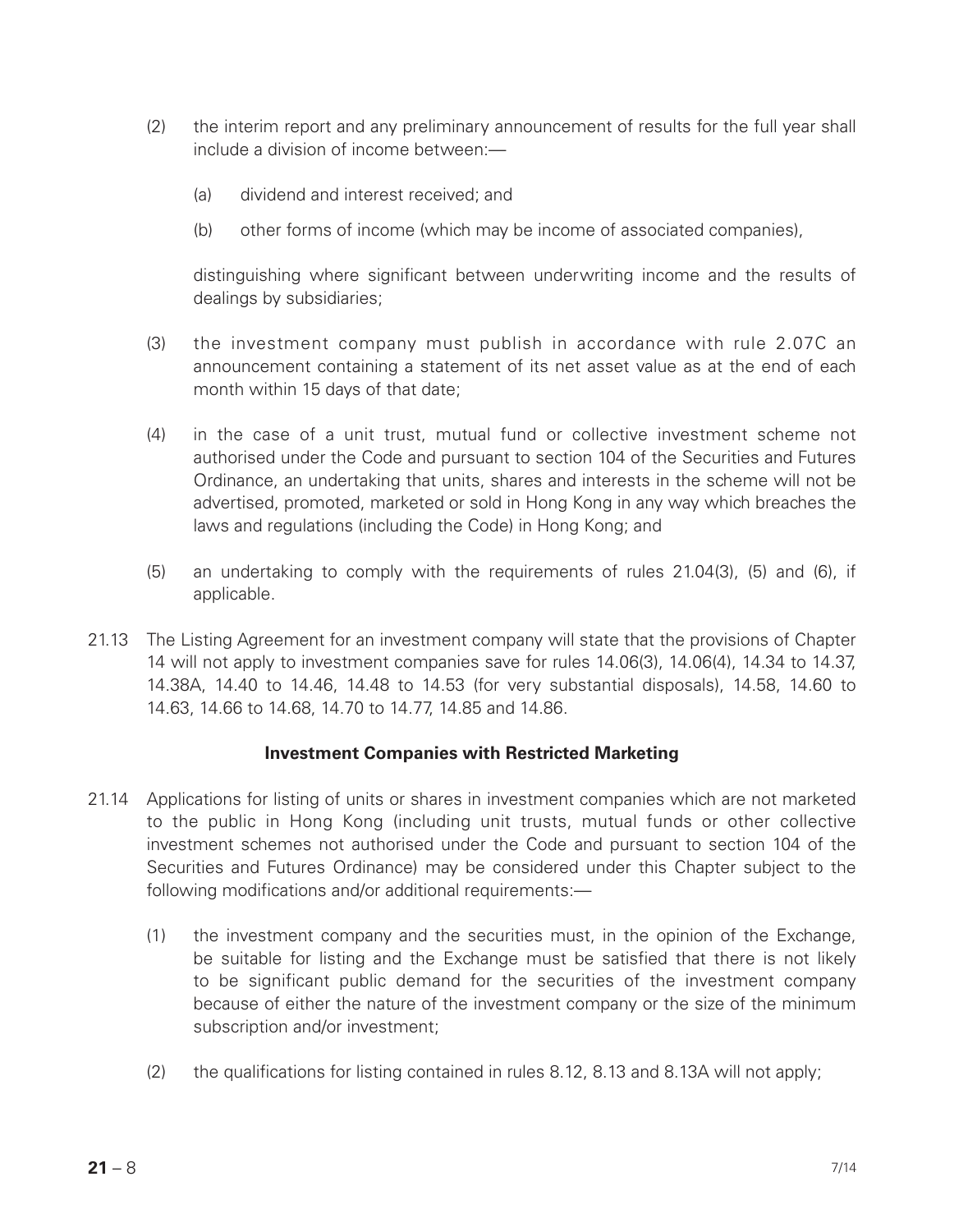- (2) the interim report and any preliminary announcement of results for the full year shall include a division of income between:—
	- (a) dividend and interest received; and
	- (b) other forms of income (which may be income of associated companies),

distinguishing where significant between underwriting income and the results of dealings by subsidiaries;

- (3) the investment company must publish in accordance with rule 2.07C an announcement containing a statement of its net asset value as at the end of each month within 15 days of that date;
- (4) in the case of a unit trust, mutual fund or collective investment scheme not authorised under the Code and pursuant to section 104 of the Securities and Futures Ordinance, an undertaking that units, shares and interests in the scheme will not be advertised, promoted, marketed or sold in Hong Kong in any way which breaches the laws and regulations (including the Code) in Hong Kong; and
- (5) an undertaking to comply with the requirements of rules 21.04(3), (5) and (6), if applicable.
- 21.13 The Listing Agreement for an investment company will state that the provisions of Chapter 14 will not apply to investment companies save for rules 14.06(3), 14.06(4), 14.34 to 14.37, 14.38A, 14.40 to 14.46, 14.48 to 14.53 (for very substantial disposals), 14.58, 14.60 to 14.63, 14.66 to 14.68, 14.70 to 14.77, 14.85 and 14.86.

#### **Investment Companies with Restricted Marketing**

- 21.14 Applications for listing of units or shares in investment companies which are not marketed to the public in Hong Kong (including unit trusts, mutual funds or other collective investment schemes not authorised under the Code and pursuant to section 104 of the Securities and Futures Ordinance) may be considered under this Chapter subject to the following modifications and/or additional requirements:—
	- (1) the investment company and the securities must, in the opinion of the Exchange, be suitable for listing and the Exchange must be satisfied that there is not likely to be significant public demand for the securities of the investment company because of either the nature of the investment company or the size of the minimum subscription and/or investment;
	- (2) the qualifications for listing contained in rules 8.12, 8.13 and 8.13A will not apply;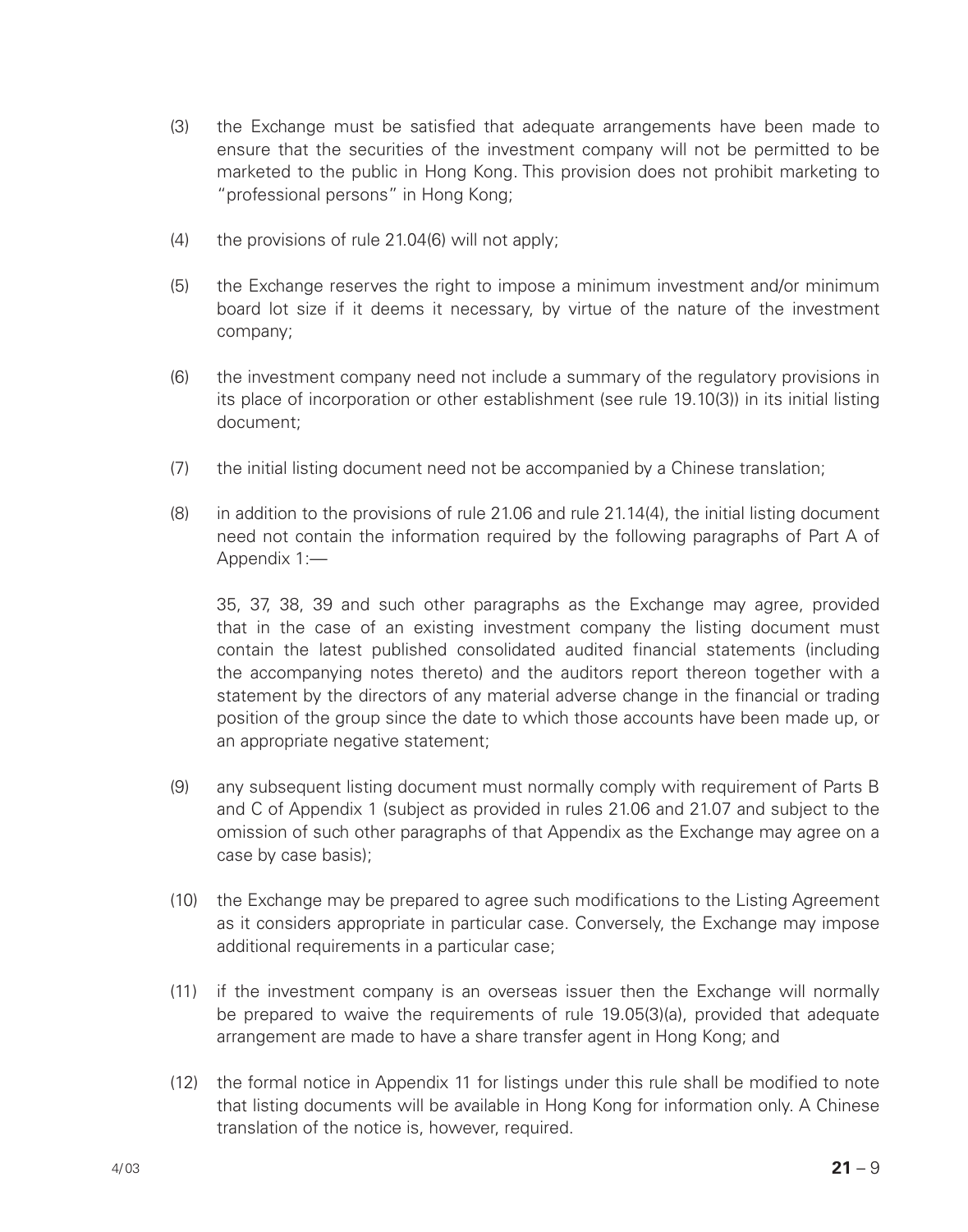- (3) the Exchange must be satisfied that adequate arrangements have been made to ensure that the securities of the investment company will not be permitted to be marketed to the public in Hong Kong. This provision does not prohibit marketing to "professional persons" in Hong Kong;
- (4) the provisions of rule 21.04(6) will not apply;
- (5) the Exchange reserves the right to impose a minimum investment and/or minimum board lot size if it deems it necessary, by virtue of the nature of the investment company;
- (6) the investment company need not include a summary of the regulatory provisions in its place of incorporation or other establishment (see rule 19.10(3)) in its initial listing document;
- (7) the initial listing document need not be accompanied by a Chinese translation;
- (8) in addition to the provisions of rule 21.06 and rule 21.14(4), the initial listing document need not contain the information required by the following paragraphs of Part A of Appendix 1:—

35, 37, 38, 39 and such other paragraphs as the Exchange may agree, provided that in the case of an existing investment company the listing document must contain the latest published consolidated audited financial statements (including the accompanying notes thereto) and the auditors report thereon together with a statement by the directors of any material adverse change in the financial or trading position of the group since the date to which those accounts have been made up, or an appropriate negative statement;

- (9) any subsequent listing document must normally comply with requirement of Parts B and C of Appendix 1 (subject as provided in rules 21.06 and 21.07 and subject to the omission of such other paragraphs of that Appendix as the Exchange may agree on a case by case basis);
- (10) the Exchange may be prepared to agree such modifications to the Listing Agreement as it considers appropriate in particular case. Conversely, the Exchange may impose additional requirements in a particular case;
- (11) if the investment company is an overseas issuer then the Exchange will normally be prepared to waive the requirements of rule 19.05(3)(a), provided that adequate arrangement are made to have a share transfer agent in Hong Kong; and
- (12) the formal notice in Appendix 11 for listings under this rule shall be modified to note that listing documents will be available in Hong Kong for information only. A Chinese translation of the notice is, however, required.